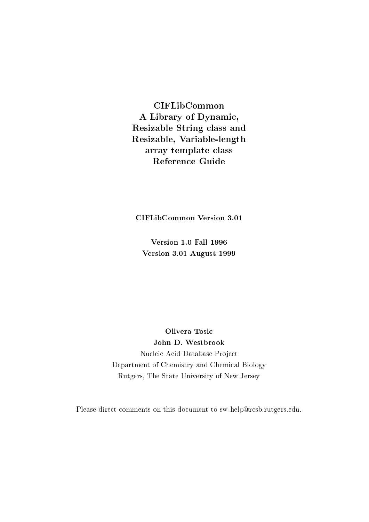**CIFLibCommon** A Library of Dynamic, Resizable String class and Resizable, Variable-length array template class **Reference Guide** 

**CIFLibCommon Version 3.01** 

**Version 1.0 Fall 1996** Version 3.01 August 1999

Olivera Tosic John D. Westbrook Nucleic Acid Database Project Department of Chemistry and Chemical Biology Rutgers, The State University of New Jersey

Please direct comments on this document to sw-help@rcsb.rutgers.edu.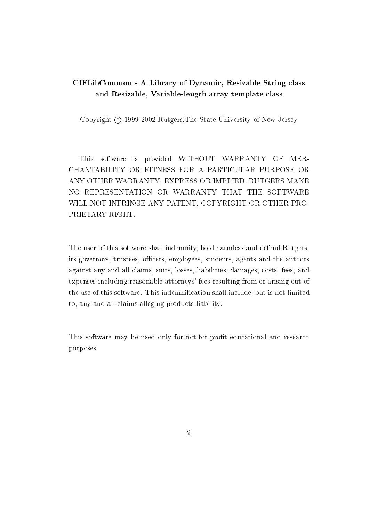# CIFLibCommon - A Library of Dynamic, Resizable String class and Resizable, Variable-length array template class

Copyright © 1999-2002 Rutgers. The State University of New Jersey

This software is provided WITHOUT WARRANTY OF MER-CHANTABILITY OR FITNESS FOR A PARTICULAR PURPOSE OR ANY OTHER WARRANTY, EXPRESS OR IMPLIED. RUTGERS MAKE NO REPRESENTATION OR WARRANTY THAT THE SOFTWARE WILL NOT INFRINGE ANY PATENT, COPYRIGHT OR OTHER PRO-PRIETARY RIGHT.

The user of this software shall indemnify, hold harmless and defend Rutgers, its governors, trustees, officers, employees, students, agents and the authors against any and all claims, suits, losses, liabilities, damages, costs, fees, and expenses including reasonable attorneys' fees resulting from or arising out of the use of this software. This indemnification shall include, but is not limited to, any and all claims alleging products liability.

This software may be used only for not-for-profit educational and research purposes.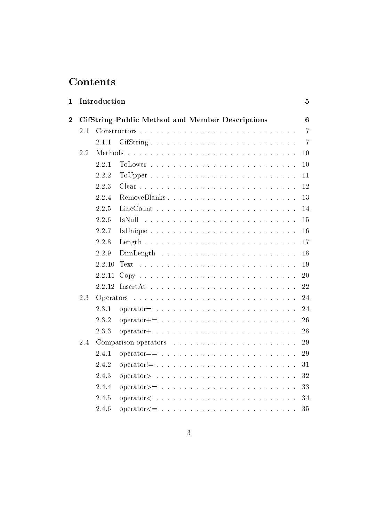# Contents

| 1              |     | Introduction |                                                                                                            | $\overline{5}$ |
|----------------|-----|--------------|------------------------------------------------------------------------------------------------------------|----------------|
| $\overline{2}$ |     |              | <b>CifString Public Method and Member Descriptions</b>                                                     | $6\phantom{1}$ |
|                | 2.1 |              |                                                                                                            | $\overline{7}$ |
|                |     | 2.1.1        | CifString                                                                                                  | $\overline{7}$ |
|                | 2.2 |              |                                                                                                            | 10             |
|                |     | 2.2.1        |                                                                                                            | 10             |
|                |     | 2.2.2        | $\text{ToUpper } \ldots \ldots \ldots \ldots \ldots \ldots \ldots \ldots$                                  | 11             |
|                |     | 2.2.3        |                                                                                                            | 12             |
|                |     | 2.2.4        | RemoveBlanks                                                                                               | 13             |
|                |     | 2.2.5        | $LineCount \dots \dots \dots$<br>and a series of the contract of the contract of the                       | 14             |
|                |     | 2.2.6        | IsNull                                                                                                     | 15             |
|                |     | 2.2.7        |                                                                                                            | $16\,$         |
|                |     | 2.2.8        |                                                                                                            | 17             |
|                |     | 2.2.9        |                                                                                                            | 18             |
|                |     | 2.2.10       |                                                                                                            | 19             |
|                |     | 2.2.11       | $Copy \dots \dots \dots \dots \dots \dots \dots \dots \dots \dots \dots \dots$                             | 20             |
|                |     |              |                                                                                                            | 22             |
|                | 2.3 |              |                                                                                                            | 24             |
|                |     | 2.3.1        | $operator = \ldots \ldots \ldots \ldots \ldots \ldots \ldots \ldots \ldots \ldots$                         | 24             |
|                |     | 2.3.2        |                                                                                                            | 26             |
|                |     | 2.3.3        | $operator + $                                                                                              | 28             |
|                | 2.4 |              |                                                                                                            | 29             |
|                |     | 2.4.1        | $operator =$ $=$ $\ldots$ $\ldots$ $\ldots$ $\ldots$ $\ldots$ $\ldots$ $\ldots$ $\ldots$ $\ldots$ $\ldots$ | 29             |
|                |     | 2.4.2        |                                                                                                            | 31             |
|                |     | 2.4.3        |                                                                                                            | 32             |
|                |     | 2.4.4        | $operator$ $\ge$ $=$ $\ldots$ $\ldots$ $\ldots$ $\ldots$ $\ldots$ $\ldots$ $\ldots$ $\ldots$ $\ldots$      | 33             |
|                |     | 2.4.5        | operator <                                                                                                 | 34             |
|                |     | 2.4.6        | $operator \epsilon = \ldots \ldots \ldots \ldots \ldots$                                                   | 35             |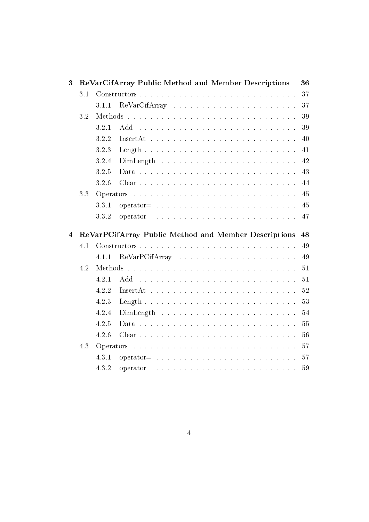| 3              |     | ReVarCifArray Public Method and Member Descriptions                                         | 36          |
|----------------|-----|---------------------------------------------------------------------------------------------|-------------|
|                | 3.1 |                                                                                             | 37          |
|                |     | 3.1.1                                                                                       | 37          |
|                | 3.2 |                                                                                             | 39          |
|                |     | 3.2.1                                                                                       | 39          |
|                |     | 3.2.2<br>$InsertAt \dots \dots \dots \dots \dots \dots \dots \dots \dots \dots \dots \dots$ | 40          |
|                |     | 3.2.3                                                                                       | 41          |
|                |     | 3.2.4                                                                                       | 42          |
|                |     | 3.2.5                                                                                       | $43\,$      |
|                |     | 3.2.6                                                                                       | 44          |
|                | 3.3 |                                                                                             | $\sqrt{45}$ |
|                |     | 3.3.1                                                                                       | 45          |
|                |     | 3.3.2                                                                                       | 47          |
|                |     |                                                                                             |             |
| $\overline{4}$ |     | ReVarPCifArray Public Method and Member Descriptions                                        | 48          |
|                | 4.1 |                                                                                             | 49          |
|                |     | 4.1.1                                                                                       | 49          |
|                | 4.2 |                                                                                             | 51          |
|                |     | 4.2.1                                                                                       | 51          |
|                |     | 4.2.2<br>$InsertAt \dots \dots \dots \dots \dots \dots \dots \dots \dots \dots \dots$       | 52          |
|                |     | 4.2.3                                                                                       | 53          |
|                |     | 4.2.4                                                                                       | 54          |
|                |     | 4.2.5                                                                                       | 55          |
|                |     | 4.2.6                                                                                       | 56          |
|                | 4.3 |                                                                                             | 57          |
|                |     | 4.3.1                                                                                       | 57          |
|                |     | 4.3.2                                                                                       |             |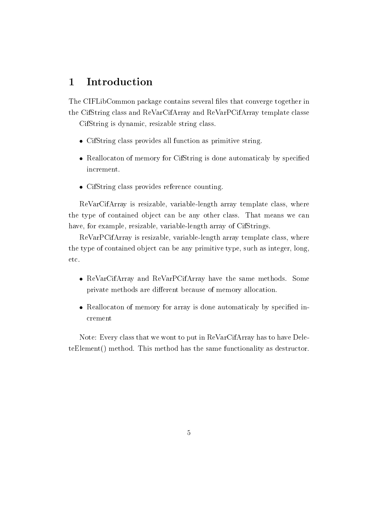#### Introduction  $\mathbf 1$

The CIFLibCommon package contains several files that converge together in the CifString class and ReVarCifArray and ReVarPCifArray template classe

CifString is dynamic, resizable string class.

- $\bullet$  CifString class provides all function as primitive string.
- Reallocaton of memory for CifString is done automaticaly by specified increment.
- CifString class provides reference counting.

ReVarCifArray is resizable, variable-length array template class, where the type of contained object can be any other class. That means we can have, for example, resizable, variable-length array of CifStrings.

ReVarPCifArray is resizable, variable-length array template class, where the type of contained object can be any primitive type, such as integer, long, etc.

- ReVarCifArray and ReVarPCifArray have the same methods. Some private methods are different because of memory allocation.
- Reallocaton of memory for array is done automaticaly by specified increment

Note: Every class that we wont to put in ReVarCifArray has to have DeleteElement() method. This method has the same functionality as destructor.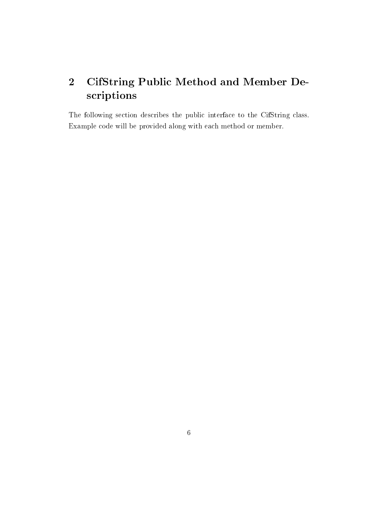# $\overline{2}$ **CifString Public Method and Member De**scriptions

The following section describes the public interface to the CifString class. Example code will be provided along with each method or member.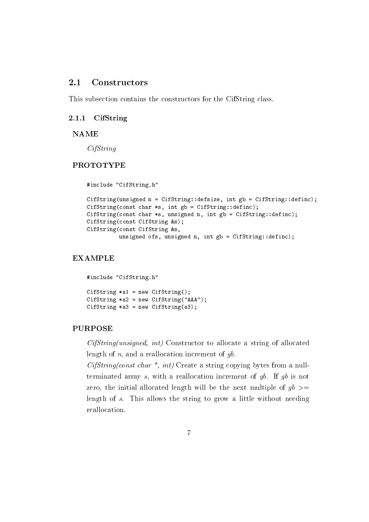#### $2.1$ Constructors

This subsection contains the constructors for the CifString class.

#### $2.1.1$ CifString

#### **NAME**

 $CifString$ 

## **PROTOTYPE**

#include "CifString.h" CifString(unsigned n = CifString::defsize, int gb = CifString::definc); CifString(const char  $*s$ , int gb = CifString::definc); CifString(const char \*s, unsigned n, int gb = CifString::definc); CifString(const CifString &s); CifString (const CifString &s, unsigned ofs, unsigned n, int gb = CifString::definc);

# **EXAMPLE**

```
#include "CifString.h"
CifString *al = new CifString();
CifString *a2 = new CifString("AAA");CifString *a3 = new CifString(a3);
```
#### **PURPOSE**

 $CifString(unsigned, int)$  Constructor to allocate a string of allocated length of  $n$ , and a reallocation increment of  $gb$ .

 $CifString(const \ char \ *, int)$  Create a string copying bytes from a nullterminated array s, with a reallocation increment of  $gb$ . If  $gb$  is not zero, the initial allocated length will be the next multiple of  $gb \geq$ length of s. This allows the string to grow a little without needing reallocation.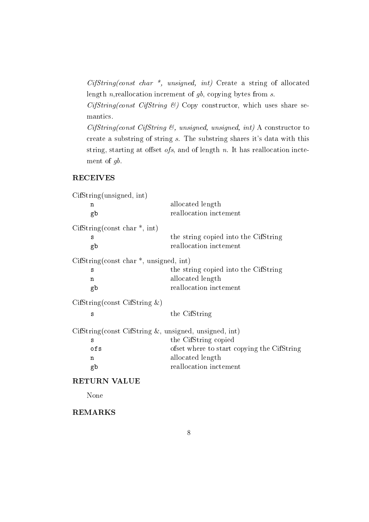$CifString(const \ char \ *, \ unsigned, \ int)$  Create a string of allocated length  $n$ , reallocation increment of  $gb$ , copying bytes from  $s$ .

 $CifString(const CifString \&)$  Copy constructor, which uses share semantics.

 $CifString(const CifString \&, unsigned, unsigned, int)$  A constructor to create a substring of string s. The substring shares it's data with this string, starting at offset  $ofs$ , and of length  $n$ . It has reallocation inctement of  $gb$ .

# **RECEIVES**

| CifString(unsigned, int)                                |                                            |
|---------------------------------------------------------|--------------------------------------------|
| n                                                       | allocated length                           |
| gb                                                      | reallocation inctement                     |
| CifString(const char $*$ , int)                         |                                            |
| S                                                       | the string copied into the CifString       |
| gb                                                      | reallocation inctement                     |
| $Ciffstring$ (const char $*$ , unsigned, int)           |                                            |
| S                                                       | the string copied into the CifString       |
| n                                                       | allocated length                           |
| gb                                                      | reallocation inctement                     |
| $CifString(const CifString \&)$                         |                                            |
| S                                                       | the CifString                              |
| $CifString(const CifString &, unsigned, unsigned, int)$ |                                            |
| S                                                       | the CifString copied                       |
| ofs                                                     | ofset where to start copying the CifString |
| n                                                       | allocated length                           |
| gb                                                      | reallocation inctement                     |
| <b>RETURN VALUE</b>                                     |                                            |
| None                                                    |                                            |
|                                                         |                                            |

# **REMARKS**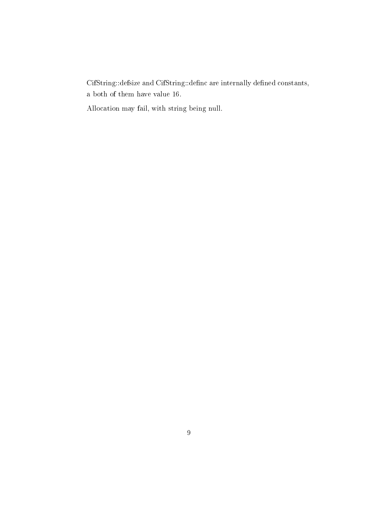$\it CifString::defsize$  and  $\it CifString::definc$  are internally defined constants, a both of them have value 16.

Allocation may fail, with string being null.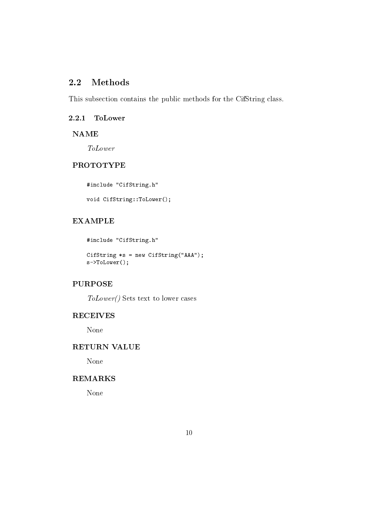#### $2.2$ **Methods**

This subsection contains the public methods for the CifString class.

#### 2.2.1 **ToLower**

**NAME** 

**ToLower** 

## **PROTOTYPE**

#include "CifString.h"

void CifString::ToLower();

# **EXAMPLE**

#include "CifString.h"

CifString \*s = new CifString("AAA");  $s$ ->ToLower();

# **PURPOSE**

 $ToLower()$  Sets text to lower cases

# **RECEIVES**

None

#### RETURN VALUE

None

# **REMARKS**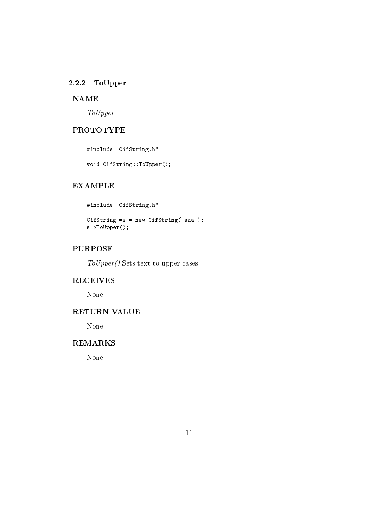# 2.2.2 ToUpper

# **NAME**

 $To Upper$ 

# **PROTOTYPE**

#include "CifString.h"

void CifString::ToUpper();

# **EXAMPLE**

#include "CifString.h"

CifString \*s = new CifString("aaa");  $s$ ->ToUpper();

# **PURPOSE**

 $To \textit{Upper}()$  Sets text to upper cases

# **RECEIVES**

None

# **RETURN VALUE**

None

# **REMARKS**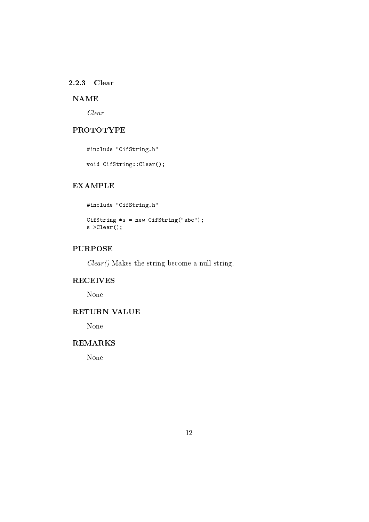## 2.2.3 Clear

# **NAME**

 $Clear$ 

# **PROTOTYPE**

#include "CifString.h"

void CifString::Clear();

# **EXAMPLE**

#include "CifString.h" CifString  $*s = new CifString("abc");$  $s$ ->Clear();

# **PURPOSE**

 $Clear()$  Makes the string become a null string.

#### **RECEIVES**

None

# RETURN VALUE

None

# **REMARKS**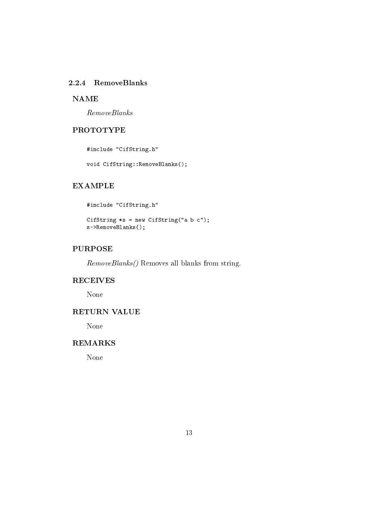## 2.2.4 RemoveBlanks

# **NAME**

 $RemoveBlanks$ 

# **PROTOTYPE**

#include "CifString.h"

void CifString:: RemoveBlanks();

# **EXAMPLE**

#include "CifString.h" CifString \*s = new CifString("a b c");  $s$ ->RemoveBlanks();

# **PURPOSE**

*RemoveBlanks()* Removes all blanks from string.

#### **RECEIVES**

None

# **RETURN VALUE**

None

# **REMARKS**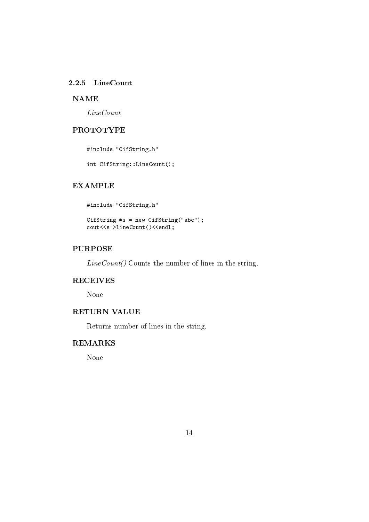# 2.2.5 LineCount

## **NAME**

 $LineCount$ 

# **PROTOTYPE**

#include "CifString.h"

int CifString::LineCount();

# **EXAMPLE**

#include "CifString.h"

CifString \*s = new CifString("abc"); cout<<s->LineCount()<<endl;

# **PURPOSE**

 $LineCount()$  Counts the number of lines in the string.

#### **RECEIVES**

None

### RETURN VALUE

Returns number of lines in the string.

# **REMARKS**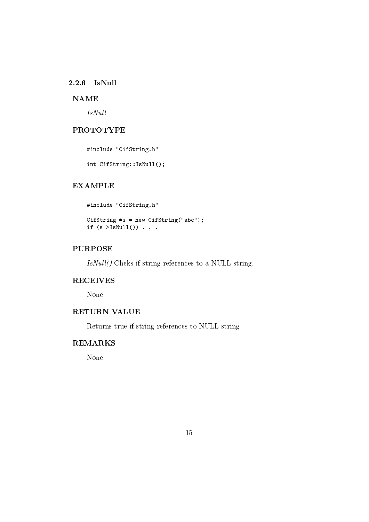### $2.2.6$  IsNull

# **NAME**

 $IsNull$ 

# **PROTOTYPE**

#include "CifString.h"

int CifString::IsNull();

# **EXAMPLE**

#include "CifString.h"

CifString \*s = new CifString("abc"); if  $(s-\geq1sNull())$ ...

# **PURPOSE**

IsNull() Cheks if string references to a NULL string.

#### **RECEIVES**

None

### RETURN VALUE

Returns true if string references to NULL string

# **REMARKS**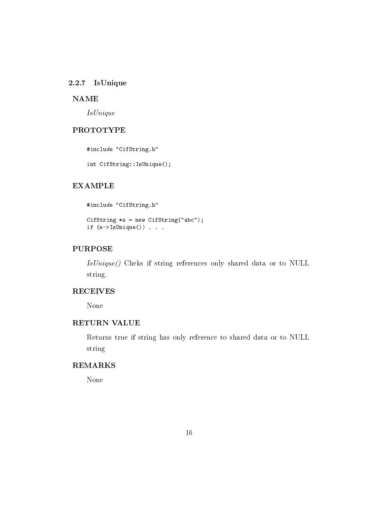## 2.2.7 IsUnique

#### **NAME**

 $Is Unique$ 

## **PROTOTYPE**

#include "CifString.h"

int CifString::IsUnique();

## **EXAMPLE**

```
#include "CifString.h"
CifString *s = new CifString("abc");
if (s-\Sigma sUnique())...
```
# **PURPOSE**

IsUnique() Cheks if string references only shared data or to NULL string.

# **RECEIVES**

None

## **RETURN VALUE**

Returns true if string has only reference to shared data or to NULL string

# **REMARKS**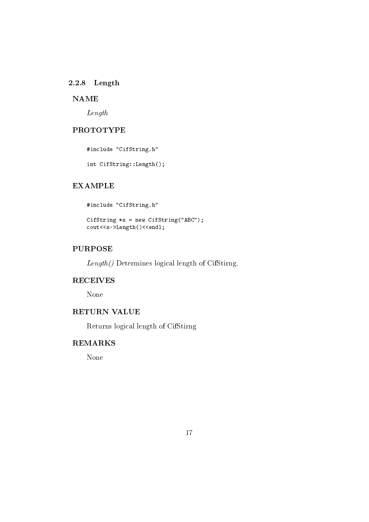## $2.2.8$  Length

# **NAME**

 $Length$ 

# **PROTOTYPE**

#include "CifString.h"

int CifString::Length();

# **EXAMPLE**

#include "CifString.h"

```
CifString *s = new CifString("ABC");
cout<<s->Length()<<endl;
```
# **PURPOSE**

 $Length()$  Determines logical length of CifStirng.

#### **RECEIVES**

None

# RETURN VALUE

Returns logical length of CifStirng

# **REMARKS**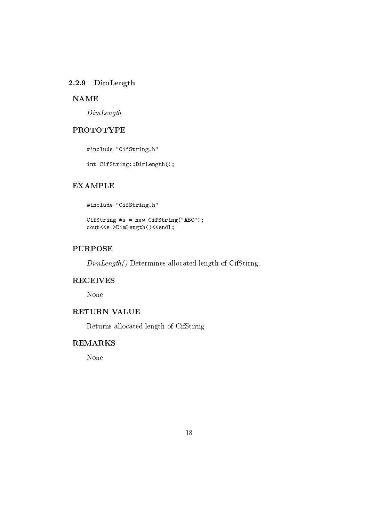# 2.2.9 DimLength

# **NAME**

 $DimLength$ 

# **PROTOTYPE**

#include "CifString.h"

int CifString::DimLength();

# **EXAMPLE**

#include "CifString.h"

```
CifString *s = new CifString("ABC");
cout<<s->DimLength()<<endl;
```
# **PURPOSE**

 $DimLength()$  Determines allocated length of CifStirng.

#### **RECEIVES**

None

### **RETURN VALUE**

Returns allocated length of CifStirng

# **REMARKS**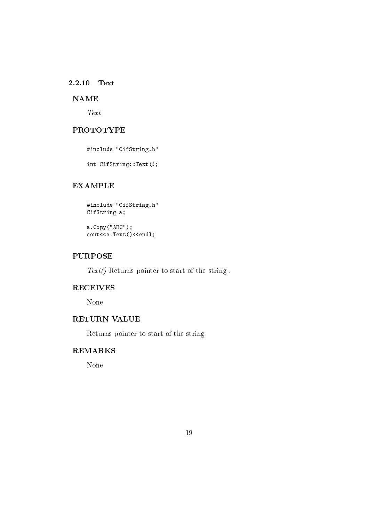#### 2.2.10 Text

# **NAME**

 $Text$ 

# **PROTOTYPE**

#include "CifString.h"

int CifString::Text();

# **EXAMPLE**

#include "CifString.h" CifString a;

 $a.Copy("ABC")$ ; cout<<a.Text()<<endl;

## **PURPOSE**

 $Text()$  Returns pointer to start of the string.

### **RECEIVES**

None

# RETURN VALUE

Returns pointer to start of the string

# **REMARKS**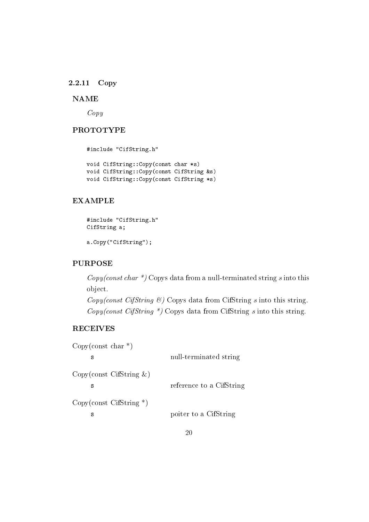#### 2.2.11 Copy

# **NAME**

 $Copy$ 

# **PROTOTYPE**

#include "CifString.h"

void CifString:: Copy (const char \*s) void CifString::Copy(const CifString &s) void CifString::Copy(const CifString \*s)

# **EXAMPLE**

```
#include "CifString.h"
CifString a;
a.Copy("CifString");
```
# **PURPOSE**

 $Copy(const \ char*)$  Copys data from a null-terminated string s into this object.

 $Copy(const \; CifString \; \mathcal{C})$  Copys data from CifString s into this string.  $Copy(const \; CifString \; *)$  Copys data from CifString s into this string.

# **RECEIVES**

| Copy (const char $*$ )           |                          |
|----------------------------------|--------------------------|
| s                                | null-terminated string   |
| Copy(const CifString &)<br>S     | reference to a CifString |
| $Copy(const \; CifString*)$<br>s | poiter to a CifString    |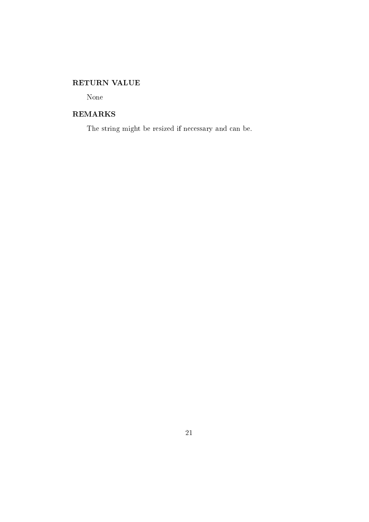# RETURN VALUE

None

# **REMARKS**

The string might be resized if necessary and can be.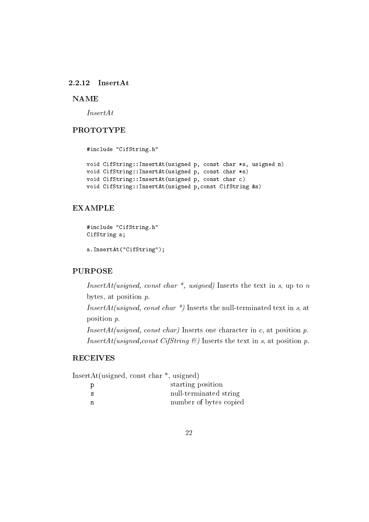#### 2.2.12 InsertAt

### **NAME**

 $InsertAt$ 

# **PROTOTYPE**

#include "CifString.h"

```
void CifString:: InsertAt (usigned p, const char *s, usigned n)
void CifString:: InsertAt (usigned p, const char *s)
void CifString:: InsertAt (usigned p, const char c)
void CifString::InsertAt(usigned p, const CifString &s)
```
# **EXAMPLE**

```
#include "CifString.h"
CifString a;
```

```
a. InsertAt("CifString");
```
## **PURPOSE**

InsertAt(usigned, const char  $*$ , usigned) Inserts the text in s, up to n bytes, at position  $p$ . *InsertAt(usigned, const char \*)* Inserts the null-terminated text in s, at position  $p$ . *InsertAt(usigned, const char)* Inserts one character in c, at position p. *InsertAt(usigned, const CifString*  $\mathcal{B}$ *)* Inserts the text in s, at position p.

## **RECEIVES**

InsertAt(usigned, const char  $*$ , usigned)

| p   | starting position      |
|-----|------------------------|
| - S | null-terminated string |
| n   | number of bytes copied |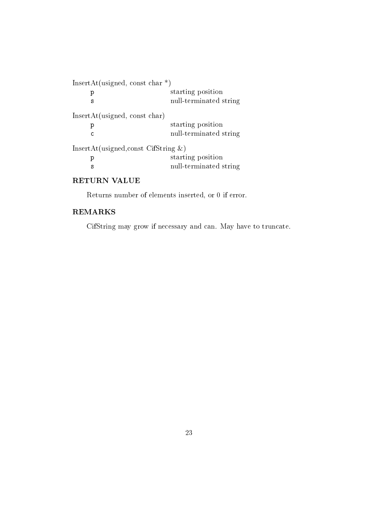| InsertAt(usigned, const char $*$ )       |  |
|------------------------------------------|--|
| starting position<br>р                   |  |
| null-terminated string<br>s              |  |
| InsertAt(usingned, const char)           |  |
| starting position<br>р                   |  |
| null-terminated string<br>C              |  |
| InsertAt(usigned, const CifString $\&$ ) |  |
| starting position<br>р                   |  |
| null-terminated string<br>s              |  |

# **RETURN VALUE**

Returns number of elements inserted, or  $0$  if error.

# **REMARKS**

CifString may grow if necessary and can. May have to truncate.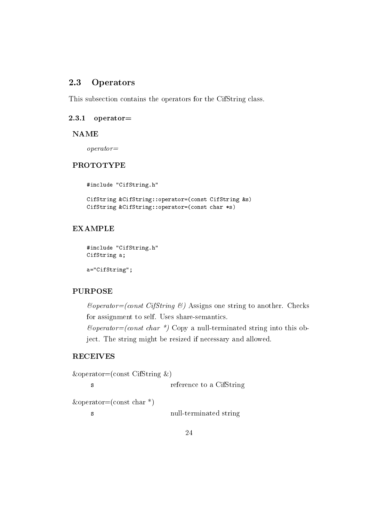#### Operators 2.3

This subsection contains the operators for the CifString class.

#### $operatorerator =$ 2.3.1

#### **NAME**

 $operator =$ 

### **PROTOTYPE**

#include "CifString.h"

```
CifString &CifString::operator=(const CifString &s)
CifString &CifString::operator=(const char *s)
```
# **EXAMPLE**

```
#include "CifString.h"
CifString a;
```
a="CifString";

# **PURPOSE**

 $\mathcal{C}operator = (const \; CifString \; \mathcal{C})$  Assigns one string to another. Checks for assignment to self. Uses share-semantics.  $\mathcal{C}operator = (const \ char \ *)$  Copy a null-terminated string into this object. The string might be resized if necessary and allowed.

# **RECEIVES**

```
\&\text{operator=(const CifString }\&)reference to a CifString
      \mathbf{s}\&\text{operator=(const char *)}null-terminated string
      s
```
24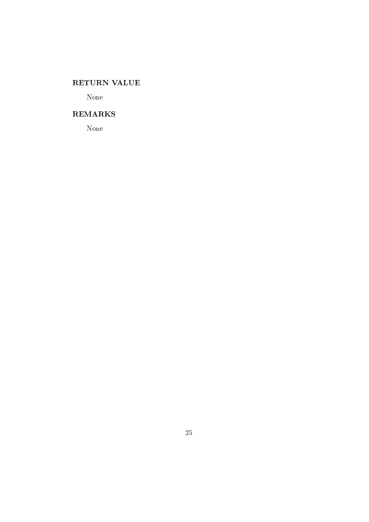# RETURN VALUE

None

# **REMARKS**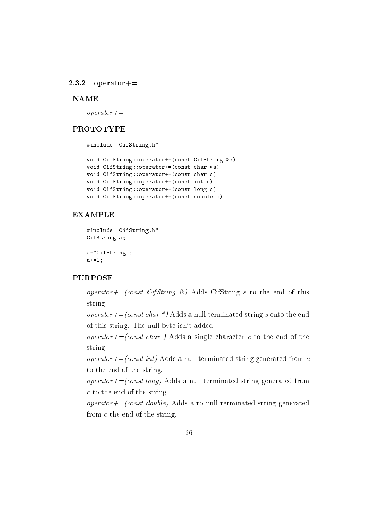$2.3.2$  $operatorerator+=$ 

#### **NAME**

 $operatorerator +=$ 

# **PROTOTYPE**

#include "CifString.h"

```
void CifString::operator+=(const CifString &s)
void CifString::operator+=(const char *s)
void CifString::operator+=(const char c)
void CifString::operator+=(const int c)
void CifString::operator+=(const long c)
void CifString::operator+=(const double c)
```
## **EXAMPLE**

```
#include "CifString.h"
CifString a;
a="CifString";
a+=1;
```
#### **PURPOSE**

operator+=(const CifString  $\mathcal{C}$ ) Adds CifString s to the end of this string.

*operator+=(const char \*)* Adds a null terminated string s onto the end of this string. The null byte isn't added.

*operator+=(const char)* Adds a single character c to the end of the string.

*operator+=(const int)* Adds a null terminated string generated from c to the end of the string.

*operator+=(const long)* Adds a null terminated string generated from  $c$  to the end of the string.

*operator+=(const double)* Adds a to null terminated string generated from  $c$  the end of the string.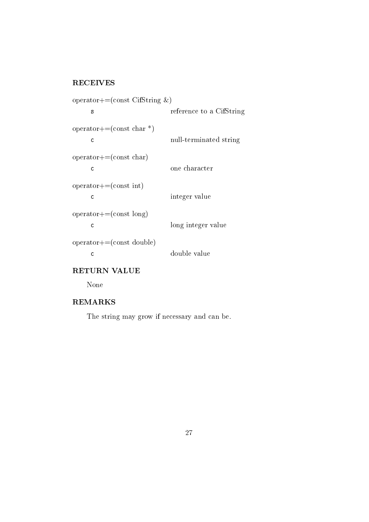# **RECEIVES**

```
operator+=(const CifString &)
       \mathbf{s}reference to a CifString
operator+=(const char *)
       \mathsf{c}null-terminated string
operator++ = (const char)\mathbf{c}one character
operator+=\text{(const int)}integer value
      \mathsf{c}operator++ = (const long)long integer value
      \mathsf{c}operator++ = (const double)double value
       \bar{\rm c}
```
RETURN VALUE

None

# **REMARKS**

The string may grow if necessary and can be.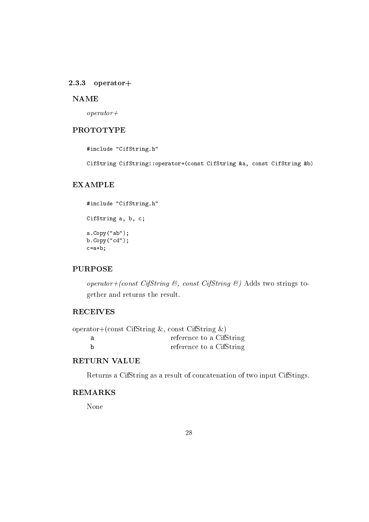#### $2.3.3$  operator+

#### **NAME**

 $operator +$ 

# **PROTOTYPE**

#include "CifString.h"

CifString CifString::operator+(const CifString &a, const CifString &b)

## **EXAMPLE**

```
#include "CifString.h"
CifString a, b, c;
a.Copy("ab");
b.Copy('cd");
c=a+b;
```
## **PURPOSE**

operator+(const CifString  $\mathcal{B}$ , const CifString  $\mathcal{B}$ ) Adds two strings together and returns the result.

## **RECEIVES**

| operator+(const CifString $\&$ , const CifString $\&$ ) |
|---------------------------------------------------------|
| reference to a CifString                                |
| reference to a CifString                                |

# **RETURN VALUE**

Returns a CifString as a result of concatenation of two input CifStings.

# **REMARKS**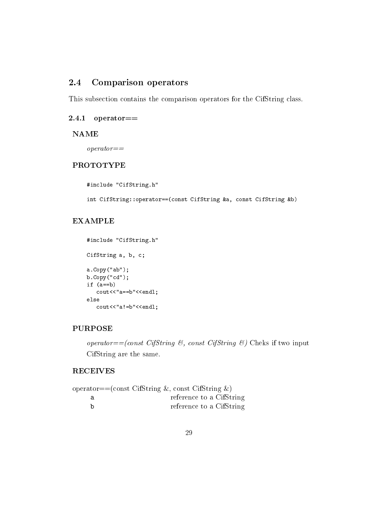#### **Comparison operators** 2.4

This subsection contains the comparison operators for the CifString class.

## $2.4.1$  operator==

**NAME** 

 $operator =$ 

# **PROTOTYPE**

```
#include "CifString.h"
int CifString::operator==(const CifString &a, const CifString &b)
```
# **EXAMPLE**

```
#include "CifString.h"
CifString a, b, c;
a.Copy("ab");
b.Copy('cd");
if (a == b)cout<<"a==b"<<endl;
else
   \text{cout}<<"a!=b"<<end1;
```
## **PURPOSE**

operator==(const CifString &, const CifString &) Cheks if two input CifString are the same.

# **RECEIVES**

| operator==(const CifString &, const CifString $\&$ ) |
|------------------------------------------------------|
| reference to a CifString                             |
| reference to a CifString                             |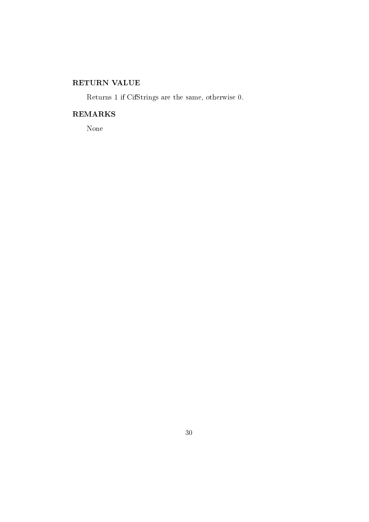# RETURN VALUE

Returns 1 if CifStrings are the same, otherwise 0.

# **REMARKS**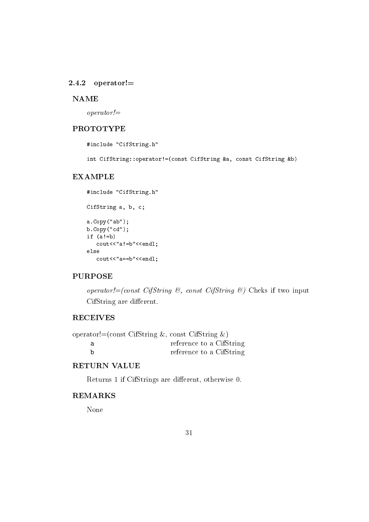#### $2.4.2$  operator!=

#### **NAME**

 $operator =$ 

# **PROTOTYPE**

```
#include "CifString.h"
```
int CifString::operator!=(const CifString &a, const CifString &b)

## **EXAMPLE**

```
#include "CifString.h"
CifString a, b, c;
a.Copy("ab");
b.Copy('cd");
if (a|=b)cout<<"a!=b"<<endl;
_{\rm else}cout<<"a==b"<<endl;
```
## **PURPOSE**

operator!=(const CifString  $\mathcal{C}_i$ , const CifString  $\mathcal{C}_i$ ) Cheks if two input CifString are different.

# **RECEIVES**

| operator!= $(\text{const } \text{CifString } \&, \text{const } \text{CifString } \&)$ |                          |  |
|---------------------------------------------------------------------------------------|--------------------------|--|
|                                                                                       | reference to a CifString |  |
|                                                                                       | reference to a CifString |  |

# **RETURN VALUE**

Returns 1 if CifStrings are different, otherwise 0.

### **REMARKS**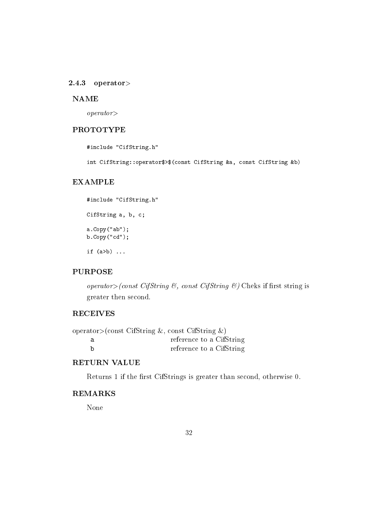#### $2.4.3$  operator>

#### **NAME**

 $operator$ 

# **PROTOTYPE**

#include "CifString.h"

int CifString::operator\$>\$(const CifString &a, const CifString &b)

# **EXAMPLE**

#include "CifString.h" CifString a, b, c;  $a.Copy("ab")$ ;  $b.Copy("cd")$ ;

if  $(a>b)$  ...

### **PURPOSE**

operator> (const CifString &, const CifString &) Cheks if first string is greater then second.

### **RECEIVES**

| operator>(const CifString &, const CifString &) |
|-------------------------------------------------|
| reference to a CifString                        |
| reference to a CifString                        |

# **RETURN VALUE**

Returns 1 if the first CifStrings is greater than second, otherwise 0.

# **REMARKS**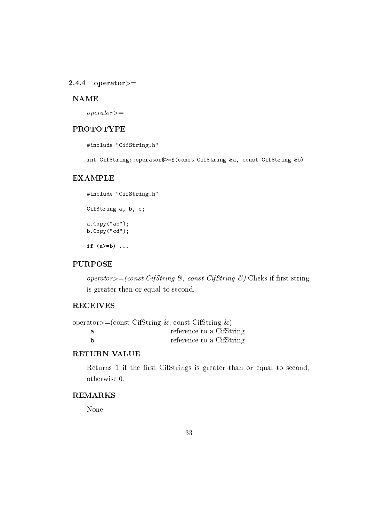#### $2.4.4$  operator>=

#### **NAME**

 $operator =$ 

# **PROTOTYPE**

#include "CifString.h"

int CifString::operator\$>=\$(const CifString &a, const CifString &b)

#### **EXAMPLE**

#include "CifString.h" CifString a, b, c;  $a.Copy("ab")$ ;  $b.Copy('cd")$ ; if  $(a>=b)$  ...

# **PURPOSE**

operator>=(const CifString &, const CifString &) Cheks if first string is greater then or equal to second.

# **RECEIVES**

|   | operator>=(const CifString &, const CifString $\&$ ) |
|---|------------------------------------------------------|
|   | reference to a CifString                             |
| h | reference to a CifString                             |

# RETURN VALUE

Returns 1 if the first CifStrings is greater than or equal to second, otherwise 0.

# **REMARKS**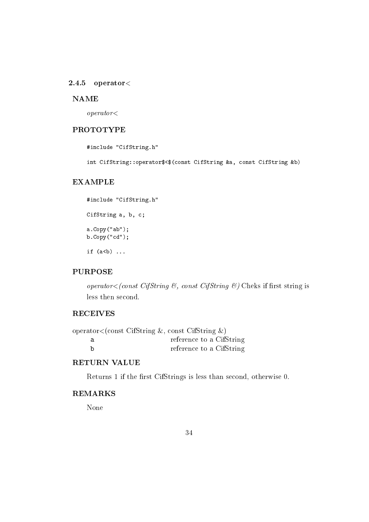#### $2.4.5$  operator<

#### **NAME**

 $operator <$ 

# **PROTOTYPE**

#include "CifString.h"

int CifString::operator\$<\$(const CifString &a, const CifString &b)

## **EXAMPLE**

#include "CifString.h" CifString a, b, c;  $a.Copy("ab")$ ;  $b.Copy("cd")$ ;

if  $(a < b)$  ...

### **PURPOSE**

operator  $\lt$  (const CifString &, const CifString &) Cheks if first string is less then second.

### **RECEIVES**

| operator<(const CifString &, const CifString &) |
|-------------------------------------------------|
| reference to a CifString                        |
| reference to a CifString                        |

# **RETURN VALUE**

Returns 1 if the first CifStrings is less than second, otherwise 0.

## **REMARKS**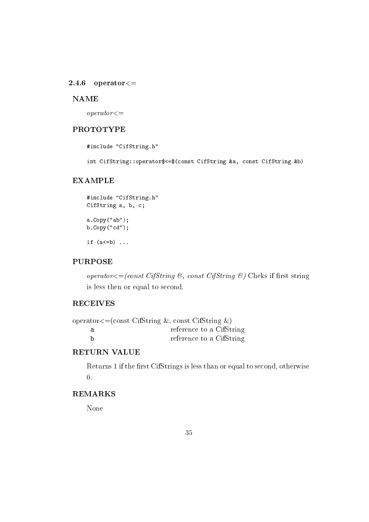#### $2.4.6$  operator  $<=$

#### **NAME**

 $operator < =$ 

## **PROTOTYPE**

#include "CifString.h"

int CifString::operator\$<=\$(const CifString &a, const CifString &b)

#### **EXAMPLE**

```
#include "CifString.h"
CifString a, b, c;
a.Copy("ab");
b.Copy('cd');if (a \le b) ...
```
## **PURPOSE**

operator  $\leq$  (const CifString &, const CifString &) Cheks if first string is less then or equal to second.

### **RECEIVES**

| operator $\leq$ (const CifString &, const CifString &) |
|--------------------------------------------------------|
| reference to a CifString                               |
| reference to a CifString                               |

## **RETURN VALUE**

Returns 1 if the first CifStrings is less than or equal to second, otherwise  $\overline{0}$ .

## **REMARKS**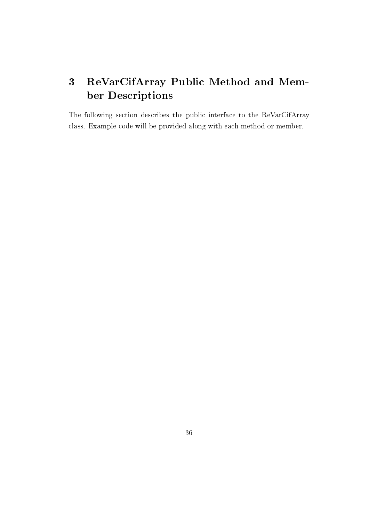# $\overline{3}$ ReVarCifArray Public Method and Member Descriptions

The following section describes the public interface to the ReVarCifArray class. Example code will be provided along with each method or member.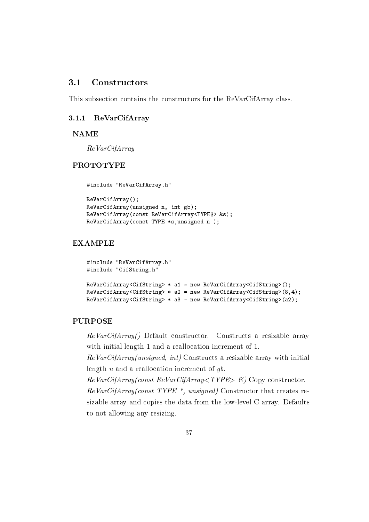#### $3.1$ Constructors

This subsection contains the constructors for the ReVarCifArray class.

#### ReVarCifArray  $3.1.1$

#### **NAME**

 $ReVarCifArray$ 

## **PROTOTYPE**

```
#include "ReVarCifArray.h"
```

```
ReVarCifArray();
ReVarCifArray(unsigned n, int gb);
ReVarCifArray(const ReVarCifArray<TYPE$> &s);
ReVarCifArray(const TYPE *s, unsigned n);
```
# **EXAMPLE**

```
#include "ReVarCifArray.h"
#include "CifString.h"
ReVarCifArray<CifString> * a1 = new ReVarCifArray<CifString>();
ReVarCifArray<CifString> * a2 = new ReVarCifArray<CifString>(8,4);
```
## $ReVarCifArray\leqifString$ > \* a3 = new  $ReVarCifArray\leqifString$ >(a2);

#### **PURPOSE**

ReVarCifArray() Default constructor. Constructs a resizable array with initial length 1 and a reallocation increment of 1.

 $ReVarCifArray(unsigned, int)$  Constructs a resizable array with initial length  $n$  and a reallocation increment of  $gb$ .

 $ReVarCifArray(const ReVarCifArray < TYPE > \mathcal{B})$  Copy constructor.  $ReVarCifArray(const \; TYPE *$ , unsigned) Constructor that creates resizable array and copies the data from the low-level C array. Defaults to not allowing any resizing.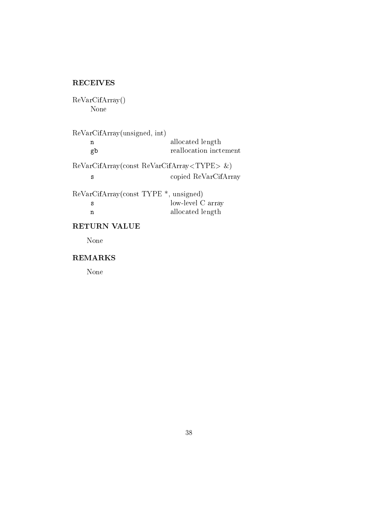# **RECEIVES**

 $ReVarCifArray()$ None

ReVarCifArray(unsigned, int) allocated length  $\overline{\mathbf{n}}$ reallocation inctement gb  $ReVarCifArray(const ReVarCifArray < TYPE > \&)$ copied ReVarCifArray  $\mathbf{s}$ ReVarCifArray(const TYPE \*, unsigned)<br>s low-level C array

| $10W$ -Ievel $\cup$ allay |
|---------------------------|
| allocated length          |

# RETURN VALUE

None

# **REMARKS**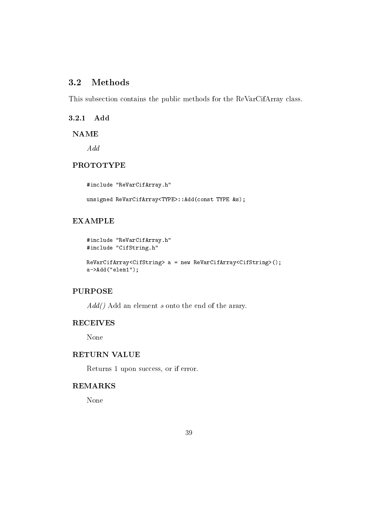#### $3.2$ **Methods**

This subsection contains the public methods for the ReVarCifArray class.

3.2.1 Add

**NAME** 

 $\mathcal{A}dd$ 

# **PROTOTYPE**

#include "ReVarCifArray.h"

unsigned ReVarCifArray<TYPE>::Add(const TYPE &s);

# **EXAMPLE**

```
#include "ReVarCifArray.h"
#include "CifString.h"
```

```
ReVarCifArray<CifString> a = new ReVarCifArray<CifString>();
a->Add("elem1");
```
# **PURPOSE**

 $Add()$  Add an element s onto the end of the arary.

# **RECEIVES**

None

## **RETURN VALUE**

Returns 1 upon success, or if error.

# **REMARKS**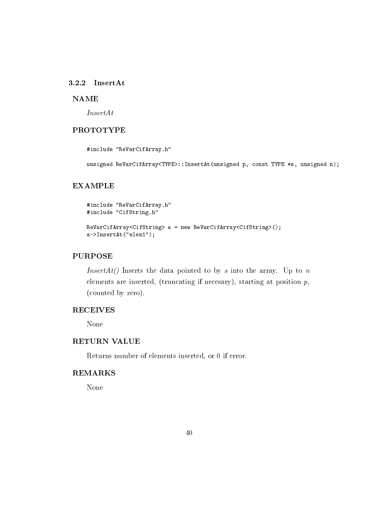## 3.2.2 InsertAt

#### **NAME**

 $InsertAt$ 

# **PROTOTYPE**

```
#include "ReVarCifArray.h"
```
unsigned ReVarCifArray<TYPE>::InsertAt(unsigned p, const TYPE \*s, unsigned n);

## **EXAMPLE**

```
#include "ReVarCifArray.h"
#include "CifString.h"
```

```
ReVarCifArray<CifString> a = new ReVarCifArray<CifString>();
a->InsertAt("elem1");
```
## **PURPOSE**

*InsertAt()* Inserts the data pointed to by s into the array. Up to n elements are inserted, (truncating if necesary), starting at position  $p$ , (counted by zero).

# **RECEIVES**

None

## **RETURN VALUE**

Returns number of elements inserted, or 0 if error.

## **REMARKS**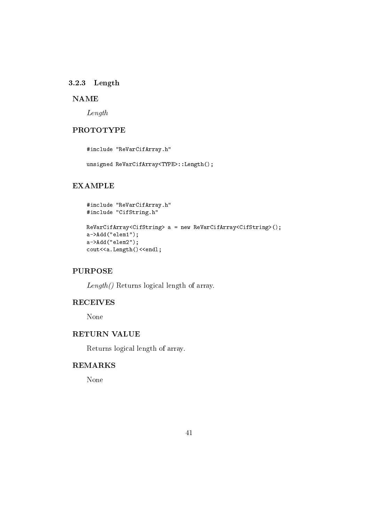## 3.2.3 Length

# **NAME**

 $Length$ 

# **PROTOTYPE**

#include "ReVarCifArray.h"

unsigned ReVarCifArray<TYPE>::Length();

## **EXAMPLE**

```
#include "ReVarCifArray.h"
#include "CifString.h"
```

```
ReVarCifArray<CifString> a = new ReVarCifArray<CifString>();
a->Add("elem1");
a->Add("elem2");
cout<<a.Length()<<endl;
```
# **PURPOSE**

 $Length()$  Returns logical length of array.

# **RECEIVES**

None

## **RETURN VALUE**

Returns logical length of array.

# **REMARKS**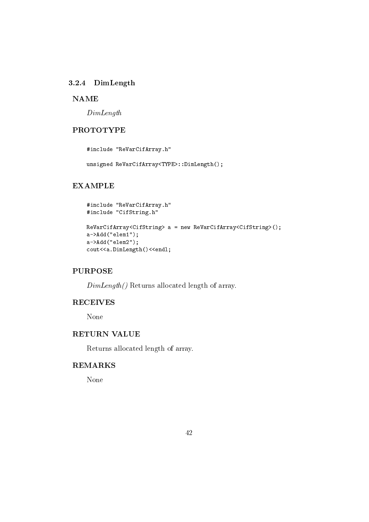# 3.2.4 DimLength

## **NAME**

 $DimLength$ 

# **PROTOTYPE**

#include "ReVarCifArray.h"

unsigned ReVarCifArray<TYPE>::DimLength();

## **EXAMPLE**

```
#include "ReVarCifArray.h"
#include "CifString.h"
```

```
ReVarCifArray<CifString> a = new ReVarCifArray<CifString>();
a->Add("elem1");
a->Add("elem2");
cout<<a.DimLength()<<endl;
```
# **PURPOSE**

 $DimLength()$  Returns allocated length of array.

# **RECEIVES**

None

## **RETURN VALUE**

Returns allocated length of array.

# **REMARKS**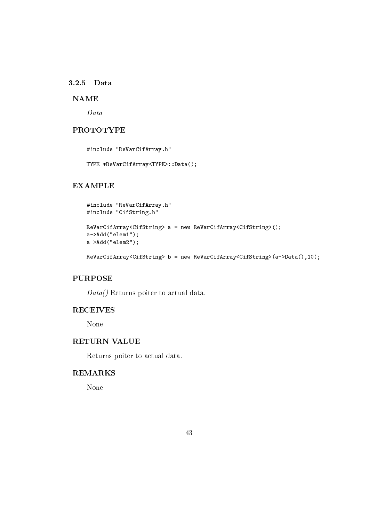### 3.2.5 Data

# **NAME**

 $Data$ 

# **PROTOTYPE**

#include "ReVarCifArray.h"

TYPE \*ReVarCifArray<TYPE>::Data();

# **EXAMPLE**

```
#include "ReVarCifArray.h"
#include "CifString.h"
```

```
ReVarCifArray<CifString> a = new ReVarCifArray<CifString>();
a->Add("elem1");
a->Add("elem2");
```
ReVarCifArray<CifString> b = new ReVarCifArray<CifString>(a->Data(),10);

## **PURPOSE**

 $Data()$  Returns poiter to actual data.

# **RECEIVES**

None

## **RETURN VALUE**

Returns poiter to actual data.

## **REMARKS**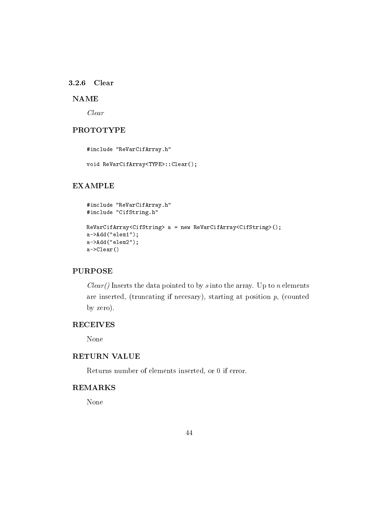### 3.2.6 Clear

# **NAME**

 $Clear$ 

# **PROTOTYPE**

#include "ReVarCifArray.h"

void ReVarCifArray<TYPE>::Clear();

## **EXAMPLE**

```
#include "ReVarCifArray.h"
#include "CifString.h"
ReVarCifArray<CifString> a = new ReVarCifArray<CifString>();
a->Add("elem1");
a->Add ("elem2");
a->Clear()
```
# **PURPOSE**

 $Clear()$  Inserts the data pointed to by s into the array. Up to n elements are inserted, (truncating if necesary), starting at position  $p$ , (counted by zero).

# **RECEIVES**

None

# **RETURN VALUE**

Returns number of elements inserted, or 0 if error.

### **REMARKS**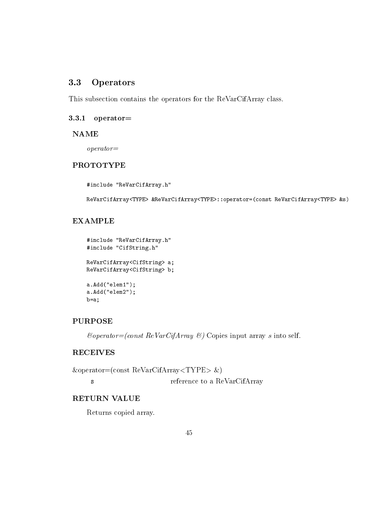#### Operators 3.3

This subsection contains the operators for the ReVarCifArray class.

## $3.3.1$  operator=

#### **NAME**

 $operator =$ 

# **PROTOTYPE**

#include "ReVarCifArray.h"

ReVarCifArray<TYPE> &ReVarCifArray<TYPE>::operator=(const ReVarCifArray<TYPE> &s)

# **EXAMPLE**

```
#include "ReVarCifArray.h"
#include "CifString.h"
ReVarCifArray<CifString> a;
ReVarCifArray<CifString> b;
a. Add("element");a. Add ("elem2");
b=a;
```
## **PURPOSE**

 $\mathcal{C}operator = (const \; ReVarCifArray \; \mathcal{C})$  Copies input array s into self.

# **RECEIVES**

 $\&\text{operator=(const ReVarCifArray\&})$  $\mathbf{s}$ reference to a ReVarCifArray

## **RETURN VALUE**

Returns copied array.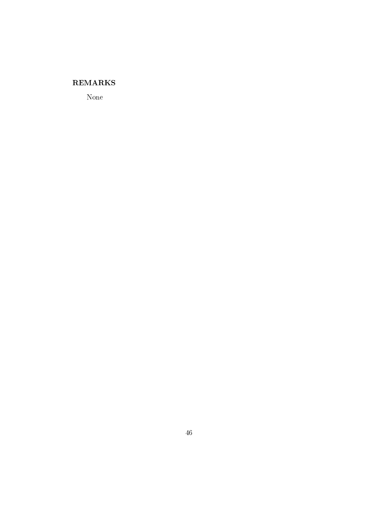# **REMARKS**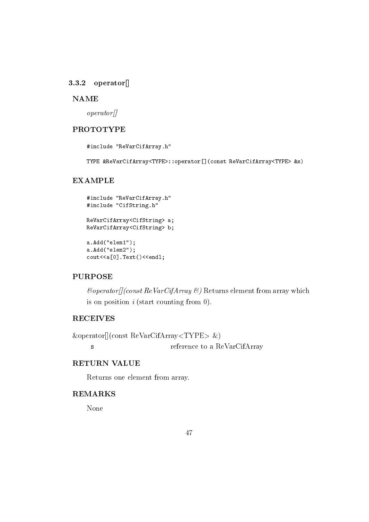## $3.3.2$  operator

#### **NAME**

 $\omega$ *perator*<sup> $\eta$ </sup>

# **PROTOTYPE**

#include "ReVarCifArray.h"

TYPE &ReVarCifArray<TYPE>::operator[](const ReVarCifArray<TYPE> &s)

#### **EXAMPLE**

```
#include "ReVarCifArray.h"
#include "CifString.h"
ReVarCifArray<CifString> a;
ReVarCifArray<CifString> b;
a. Add("elem1");
a. Add("elem2");
```

```
\text{cout} < \{0\}. Text() < < endl;
```
# **PURPOSE**

 $\mathcal{E} \text{operator}[f]$  (const ReVarCifArray  $\mathcal{E}$ ) Returns element from array which is on position  $i$  (start counting from 0).

# **RECEIVES**

 $\&\text{operator}([const ReVarCifArray\&)$ 

 $\mathbf{s}$ 

reference to a ReVarCifArray

# **RETURN VALUE**

Returns one element from array.

## **REMARKS**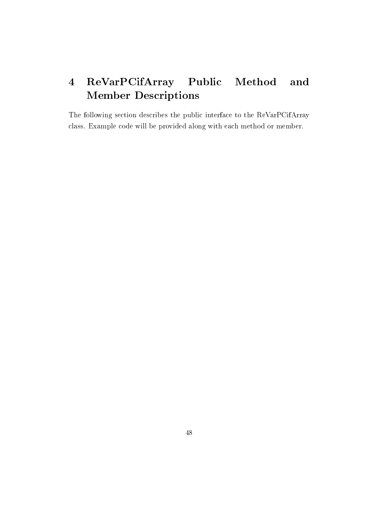#### ReVarPCifArray Public Method and  $\overline{\mathbf{4}}$ **Member Descriptions**

The following section describes the public interface to the ReVarPCifArray class. Example code will be provided along with each method or member.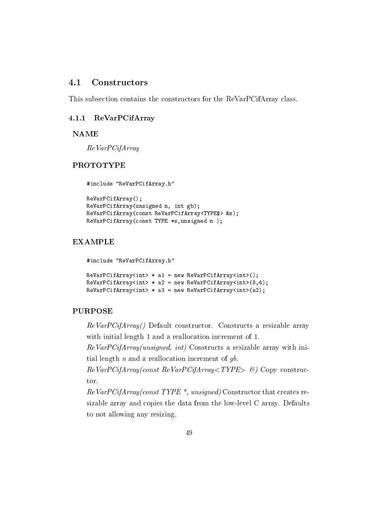#### $4.1$ Constructors

This subsection contains the constructors for the ReVarPCifArray class.

#### $4.1.1$ ReVarPCifArray

**NAME** 

 $ReVarPCiA$ rray

## **PROTOTYPE**

```
#include "ReVarPCifArray.h"
```

```
ReVarPCifArray();
ReVarPCifArray(unsigned n, int gb);
ReVarPCifArray(const ReVarPCifArray<TYPE$> &s);
ReVarPCifArray(const TYPE *s, unsigned n);
```
# **EXAMPLE**

#include "ReVarPCifArray.h"

```
ReVarPCifArray<int> * a1 = new ReVarPCifArray\langleint\rangle();
ReVarPCifArray<int> * a2 = new ReVarPCifArray<int>(8,4);
ReVarPCifArray<int> * a3 = new ReVarPCifArray<int>(a2);
```
## **PURPOSE**

ReVarPCifArray() Default constructor. Constructs a resizable array with initial length 1 and a reallocation increment of 1.

ReVarPCifArray(unsigned, int) Constructs a resizable array with initial length  $n$  and a reallocation increment of  $gb$ .

 $ReVarPCifArray(const ReVarPCifArray < TYPE > \&)$  Copy constructor.

 $ReVarPCifArray(const \; TYPE *$ , unsigned) Constructor that creates resizable array and copies the data from the low-level C array. Defaults to not allowing any resizing.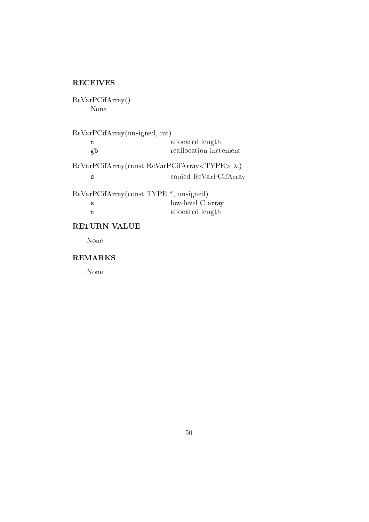# **RECEIVES**

ReVarPCifArray() None

ReVarPCifArray(unsigned, int) allocated length  $\overline{\mathbf{n}}$ reallocation inctement gb  $ReVarPCifArray(const ReVarPCifArray < TYPE> \& )$ copied ReVarPCifArray  $\mathbf{s}$ ReVarPCifArray(const TYPE<sup>\*</sup>, unsigned) low-level C array  $\mathbf{s}$ allocated length  $\mathbf n$ 

# RETURN VALUE

None

## **REMARKS**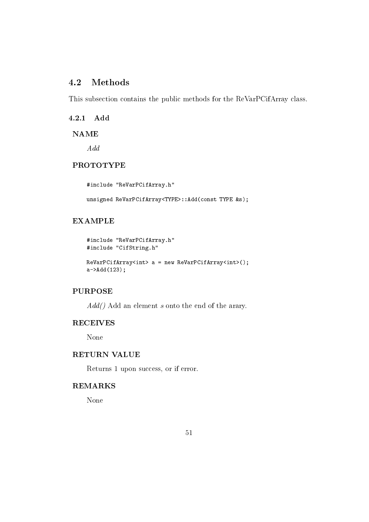#### $4.2$ **Methods**

This subsection contains the public methods for the ReVarPCifArray class.

 $4.2.1$ Add

**NAME** 

 $\mathcal{A}dd$ 

# **PROTOTYPE**

#include "ReVarPCifArray.h"

unsigned ReVarPCifArray<TYPE>::Add(const TYPE &s);

# **EXAMPLE**

```
#include "ReVarPCifArray.h"
#include "CifString.h"
ReVarPCifArraySint > a = new ReVarPCifArraySint>();a->Add(123);
```
# **PURPOSE**

 $Add()$  Add an element s onto the end of the arary.

# **RECEIVES**

None

## **RETURN VALUE**

Returns 1 upon success, or if error.

# **REMARKS**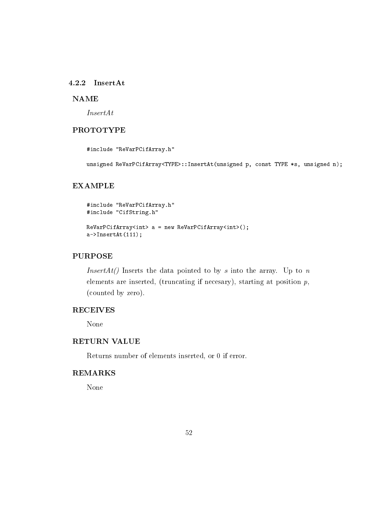## 4.2.2 InsertAt

## **NAME**

 $InsertAt$ 

# **PROTOTYPE**

#include "ReVarPCifArray.h"

unsigned ReVarPCifArray<TYPE>::InsertAt(unsigned p, const TYPE \*s, unsigned n);

## **EXAMPLE**

```
#include "ReVarPCifArray.h"
#include "CifString.h"
```

```
ReVarPCifArray<int> > a = new ReVarPCifArray<int>();
a->InsertAt(111);
```
## **PURPOSE**

*InsertAt()* Inserts the data pointed to by s into the array. Up to n elements are inserted, (truncating if necesary), starting at position  $p$ , (counted by zero).

## **RECEIVES**

None

## **RETURN VALUE**

Returns number of elements inserted, or 0 if error.

## **REMARKS**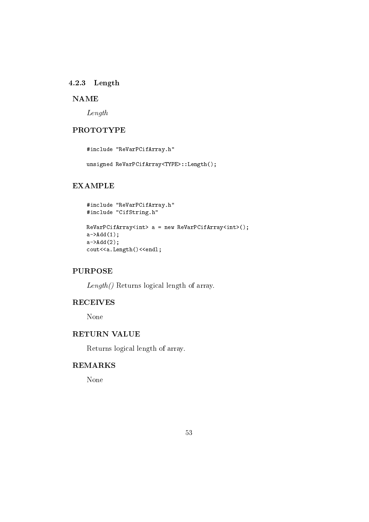## 4.2.3 Length

# **NAME**

 $Length$ 

# **PROTOTYPE**

#include "ReVarPCifArray.h"

unsigned ReVarPCifArray<TYPE>::Length();

# **EXAMPLE**

```
#include "ReVarPCifArray.h"
#include "CifString.h"
```

```
ReVarPCifArray<int> > a = new ReVarPCifArray<int>();
a - > Add(1);
a - > Add(2);
cout<<a.Length()<<endl;
```
# **PURPOSE**

 $Length()$  Returns logical length of array.

# **RECEIVES**

None

## **RETURN VALUE**

Returns logical length of array.

# **REMARKS**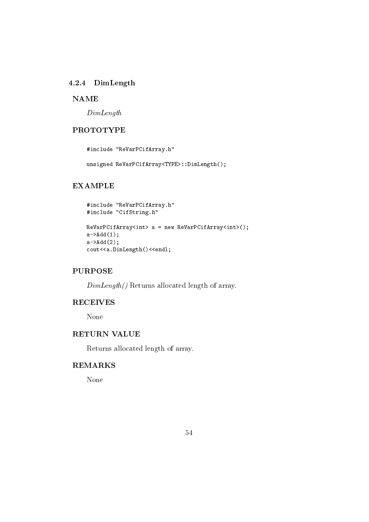## 4.2.4 DimLength

## **NAME**

 $DimLength$ 

# **PROTOTYPE**

#include "ReVarPCifArray.h"

unsigned ReVarPCifArray<TYPE>::DimLength();

## **EXAMPLE**

```
#include "ReVarPCifArray.h"
#include "CifString.h"
```

```
ReVarPCifArray<int> > a = new ReVarPCifArray<int>();
a - > Add(1);
a - > Add(2);
cout<<a.DimLength()<<endl;
```
# **PURPOSE**

 $DimLength()$  Returns allocated length of array.

# **RECEIVES**

None

## **RETURN VALUE**

Returns allocated length of array.

# **REMARKS**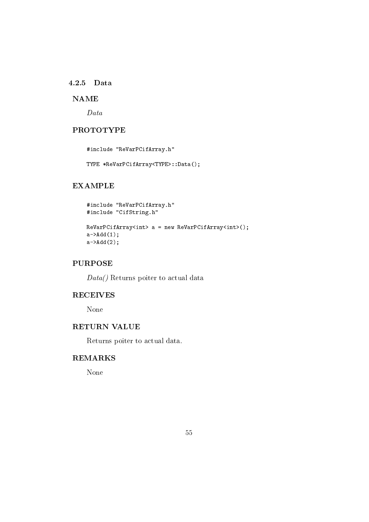### 4.2.5 Data

# **NAME**

 $Data$ 

# **PROTOTYPE**

#include "ReVarPCifArray.h"

TYPE \*ReVarPCifArray<TYPE>::Data();

# **EXAMPLE**

```
#include "ReVarPCifArray.h"
#include "CifString.h"
```

```
ReVarPCifArray<int> > a = new ReVarPCifArray<int>();
a - > Add(1);
a - > Add(2);
```
# **PURPOSE**

 $Data()$  Returns poiter to actual data

# **RECEIVES**

None

# **RETURN VALUE**

Returns poiter to actual data.

# **REMARKS**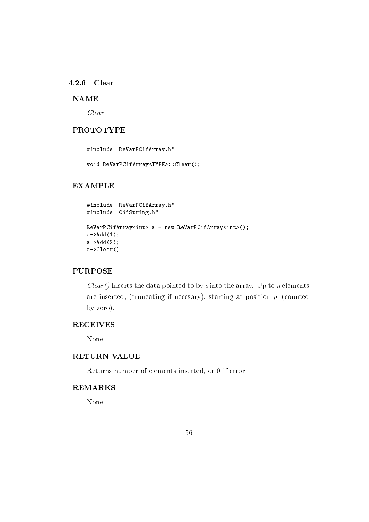#### 4.2.6 Clear

# **NAME**

 $Clear$ 

# **PROTOTYPE**

#include "ReVarPCifArray.h"

void ReVarPCifArray<TYPE>::Clear();

## **EXAMPLE**

```
#include "ReVarPCifArray.h"
#include "CifString.h"
ReVarPCifArray<int> > a = new ReVarPCifArray<int>();
a->Add(1);
a - > Add(2);
a->Clear()
```
# **PURPOSE**

 $Clear()$  Inserts the data pointed to by s into the array. Up to n elements are inserted, (truncating if necesary), starting at position  $p$ , (counted by zero).

# **RECEIVES**

None

# **RETURN VALUE**

Returns number of elements inserted, or 0 if error.

### **REMARKS**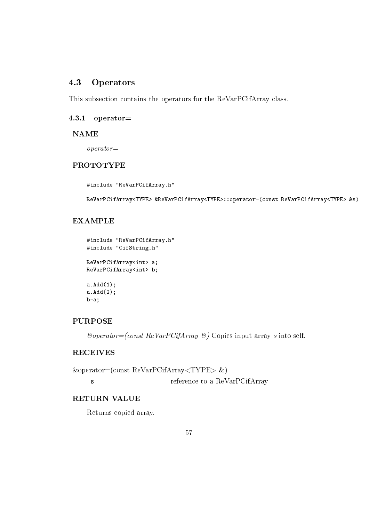#### 4.3 Operators

This subsection contains the operators for the ReVarPCifArray class.

## $4.3.1$  operator=

#### **NAME**

 $operator =$ 

# **PROTOTYPE**

#include "ReVarPCifArray.h"

ReVarPCifArray<TYPE> &ReVarPCifArray<TYPE>::operator=(const ReVarPCifArray<TYPE> &s)

# **EXAMPLE**

```
#include "ReVarPCifArray.h"
#include "CifString.h"
```
ReVarPCifArray<int> a; ReVarPCifArray<int> b;

 $a. Add(1);$  $a. Add(2);$  $b=a;$ 

# **PURPOSE**

 $\mathcal{C}operator = (const \; ReVarPCifArray \; \mathcal{C})$  Copies input array s into self.

# **RECEIVES**

 $\&\text{operator=(const ReVarPCifArray\&})$ reference to a ReVarPCifArray  $\mathbf{s}$ 

# **RETURN VALUE**

Returns copied array.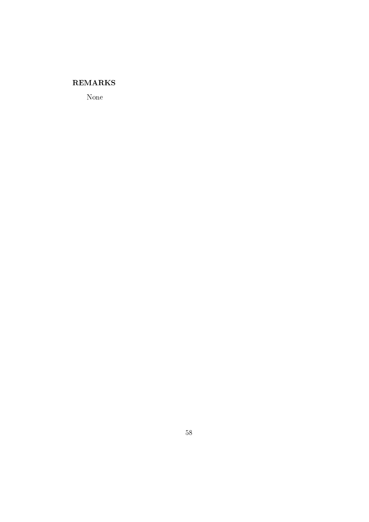# **REMARKS**